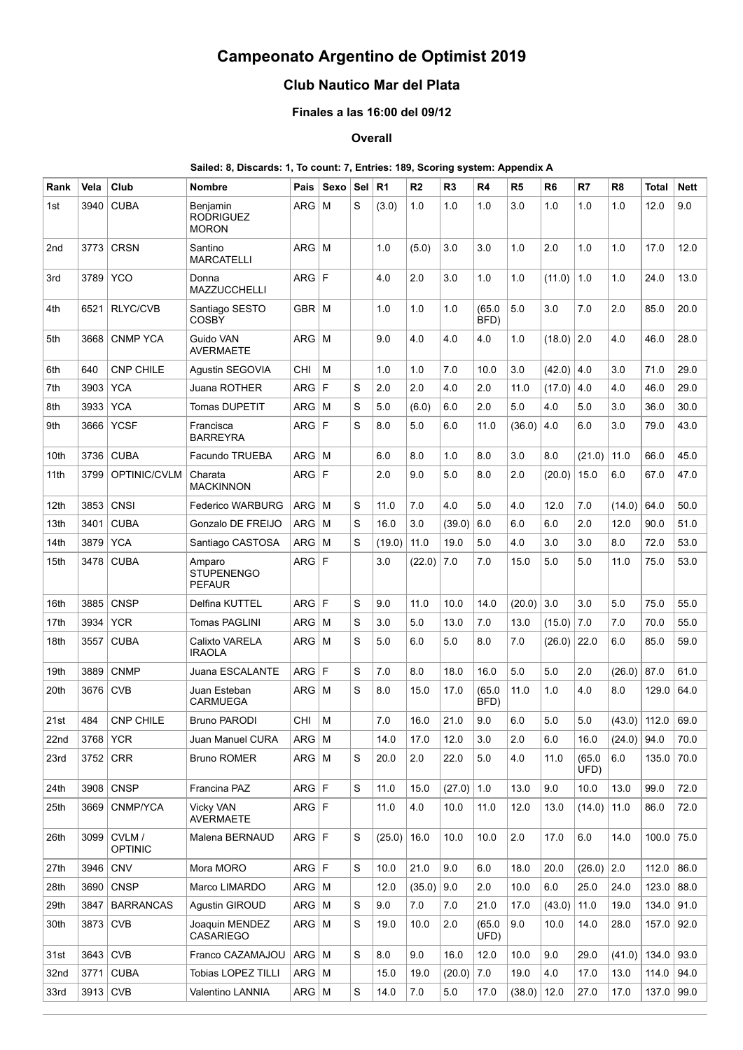# **Campeonato Argentino de Optimist 2019**

# **Club Nautico Mar del Plata**

## **Finales a las 16:00 del 09/12**

### **Overall**

### **Sailed: 8, Discards: 1, To count: 7, Entries: 189, Scoring system: Appendix A**

| Rank | Vela       | Club                     | <b>Nombre</b>                                | Pais         | Sexo     | Sel | R <sub>1</sub> | R <sub>2</sub> | R <sub>3</sub> | R4             | R <sub>5</sub> | R <sub>6</sub> | R7             | R <sub>8</sub> | Total | Nett |
|------|------------|--------------------------|----------------------------------------------|--------------|----------|-----|----------------|----------------|----------------|----------------|----------------|----------------|----------------|----------------|-------|------|
| 1st  | 3940       | <b>CUBA</b>              | Benjamin<br><b>RODRIGUEZ</b><br><b>MORON</b> | <b>ARG</b>   | M        | S   | (3.0)          | 1.0            | 1.0            | 1.0            | 3.0            | 1.0            | 1.0            | 1.0            | 12.0  | 9.0  |
| 2nd  | 3773       | <b>CRSN</b>              | Santino<br><b>MARCATELLI</b>                 | ARG          | l M      |     | 1.0            | (5.0)          | 3.0            | 3.0            | 1.0            | 2.0            | 1.0            | 1.0            | 17.0  | 12.0 |
| 3rd  | 3789       | <b>YCO</b>               | Donna<br><b>MAZZUCCHELLI</b>                 | ARG F        |          |     | 4.0            | 2.0            | 3.0            | 1.0            | 1.0            | (11.0)         | 1.0            | 1.0            | 24.0  | 13.0 |
| 4th  | 6521       | <b>RLYC/CVB</b>          | Santiago SESTO<br><b>COSBY</b>               | GBR   M      |          |     | 1.0            | 1.0            | 1.0            | (65.0)<br>BFD) | 5.0            | 3.0            | 7.0            | 2.0            | 85.0  | 20.0 |
| 5th  | 3668       | <b>CNMP YCA</b>          | Guido VAN<br>AVERMAETE                       | ARG          | l M      |     | 9.0            | 4.0            | 4.0            | 4.0            | 1.0            | (18.0)         | 2.0            | 4.0            | 46.0  | 28.0 |
| 6th  | 640        | <b>CNP CHILE</b>         | Agustin SEGOVIA                              | CHI          | M        |     | 1.0            | 1.0            | 7.0            | 10.0           | 3.0            | (42.0)         | 4.0            | 3.0            | 71.0  | 29.0 |
| 7th  | 3903       | <b>YCA</b>               | Juana ROTHER                                 | <b>ARG</b>   | F        | S   | 2.0            | 2.0            | 4.0            | 2.0            | 11.0           | (17.0)         | 4.0            | 4.0            | 46.0  | 29.0 |
| 8th  | 3933       | <b>YCA</b>               | Tomas DUPETIT                                | <b>ARG</b>   | M        | S   | 5.0            | (6.0)          | 6.0            | 2.0            | 5.0            | 4.0            | 5.0            | 3.0            | 36.0  | 30.0 |
| 9th  | 3666       | <b>YCSF</b>              | Francisca<br><b>BARREYRA</b>                 | <b>ARG</b>   | F        | S   | 8.0            | 5.0            | 6.0            | 11.0           | (36.0)         | $4.0\,$        | 6.0            | 3.0            | 79.0  | 43.0 |
| 10th | 3736       | <b>CUBA</b>              | Facundo TRUEBA                               | ARG          | M        |     | 6.0            | 8.0            | 1.0            | 8.0            | 3.0            | 8.0            | (21.0)         | 11.0           | 66.0  | 45.0 |
| 11th | 3799       | OPTINIC/CVLM             | Charata<br><b>MACKINNON</b>                  | <b>ARG</b>   | l F      |     | 2.0            | 9.0            | 5.0            | 8.0            | 2.0            | (20.0)         | 15.0           | 6.0            | 67.0  | 47.0 |
| 12th | 3853       | <b>CNSI</b>              | <b>Federico WARBURG</b>                      | $ARG$ M      |          | S   | 11.0           | 7.0            | 4.0            | 5.0            | 4.0            | 12.0           | 7.0            | (14.0)         | 64.0  | 50.0 |
| 13th | 3401       | <b>CUBA</b>              | Gonzalo DE FREIJO                            | ARG          | l M      | S   | 16.0           | 3.0            | (39.0)         | 6.0            | 6.0            | 6.0            | 2.0            | 12.0           | 90.0  | 51.0 |
| 14th | 3879       | <b>YCA</b>               | Santiago CASTOSA                             | $ARG$ M      |          | S   | (19.0)         | 11.0           | 19.0           | 5.0            | 4.0            | 3.0            | 3.0            | 8.0            | 72.0  | 53.0 |
| 15th | 3478       | <b>CUBA</b>              | Amparo<br><b>STUPENENGO</b><br><b>PEFAUR</b> | ARG F        |          |     | 3.0            | $(22.0)$ 7.0   |                | 7.0            | 15.0           | 5.0            | 5.0            | 11.0           | 75.0  | 53.0 |
| 16th | 3885       | <b>CNSP</b>              | Delfina KUTTEL                               | ARG F        |          | S   | 9.0            | 11.0           | 10.0           | 14.0           | (20.0)         | 3.0            | 3.0            | 5.0            | 75.0  | 55.0 |
| 17th | 3934       | <b>YCR</b>               | <b>Tomas PAGLINI</b>                         | ARG          | M        | S   | 3.0            | 5.0            | 13.0           | 7.0            | 13.0           | (15.0)         | 7.0            | 7.0            | 70.0  | 55.0 |
| 18th | 3557       | <b>CUBA</b>              | Calixto VARELA<br><b>IRAOLA</b>              | ARG          | $\mid M$ | S   | 5.0            | 6.0            | 5.0            | 8.0            | 7.0            | (26.0)         | 22.0           | 6.0            | 85.0  | 59.0 |
| 19th | 3889       | <b>CNMP</b>              | Juana ESCALANTE                              | <b>ARG</b>   | l F      | S   | 7.0            | 8.0            | 18.0           | 16.0           | 5.0            | 5.0            | 2.0            | (26.0)         | 87.0  | 61.0 |
| 20th | 3676       | <b>CVB</b>               | Juan Esteban<br><b>CARMUEGA</b>              | ARG          | l M      | S   | 8.0            | 15.0           | 17.0           | (65.0)<br>BFD) | 11.0           | 1.0            | 4.0            | 8.0            | 129.0 | 64.0 |
| 21st | 484        | <b>CNP CHILE</b>         | <b>Bruno PARODI</b>                          | CHI          | M        |     | 7.0            | 16.0           | 21.0           | 9.0            | 6.0            | 5.0            | 5.0            | (43.0)         | 112.0 | 69.0 |
| 22nd | 3768 YCR   |                          | Juan Manuel CURA                             | $ARG$ M      |          |     | 14.0           | 17.0           | 12.0           | 3.0            | 2.0            | 6.0            | 16.0           | $(24.0)$ 94.0  |       | 70.0 |
| 23rd |            | $3752$ CRR               | <b>Bruno ROMER</b>                           | $ARG$ M      |          | S   | 20.0           | 2.0            | 22.0           | 5.0            | 4.0            | 11.0           | (65.0)<br>UFD) | 6.0            | 135.0 | 70.0 |
| 24th |            | 3908 CNSP                | Francina PAZ                                 | $ARG$ F      |          | S   | 11.0           | 15.0           | (27.0)         | 1.0            | 13.0           | 9.0            | 10.0           | 13.0           | 99.0  | 72.0 |
| 25th | 3669       | CNMP/YCA                 | <b>Vicky VAN</b><br>AVERMAETE                | ARG F        |          |     | 11.0           | 4.0            | 10.0           | 11.0           | 12.0           | 13.0           | (14.0)         | 11.0           | 86.0  | 72.0 |
| 26th | 3099       | CVLM /<br><b>OPTINIC</b> | Malena BERNAUD                               | ARG F        |          | S   | (25.0)         | 16.0           | 10.0           | 10.0           | 2.0            | 17.0           | 6.0            | 14.0           | 100.0 | 75.0 |
| 27th | 3946       | <b>CNV</b>               | Mora MORO                                    | ARG F        |          | S   | 10.0           | 21.0           | 9.0            | 6.0            | 18.0           | 20.0           | (26.0)         | 2.0            | 112.0 | 86.0 |
| 28th |            | 3690 CNSP                | Marco LIMARDO                                | $ARG$ M      |          |     | 12.0           | $(35.0)$ 9.0   |                | 2.0            | 10.0           | 6.0            | 25.0           | 24.0           | 123.0 | 88.0 |
| 29th | 3847       | <b>BARRANCAS</b>         | Agustin GIROUD                               | $ARG$ M      |          | S   | 9.0            | 7.0            | 7.0            | 21.0           | 17.0           | (43.0)         | 11.0           | 19.0           | 134.0 | 91.0 |
| 30th | 3873 CVB   |                          | Joaquin MENDEZ<br><b>CASARIEGO</b>           | $ARG$ M      |          | S   | 19.0           | 10.0           | 2.0            | (65.0)<br>UFD) | 9.0            | 10.0           | 14.0           | 28.0           | 157.0 | 92.0 |
| 31st | $3643$ CVB |                          | Franco CAZAMAJOU                             | $ARG \mid M$ |          | S   | 8.0            | 9.0            | 16.0           | 12.0           | 10.0           | 9.0            | 29.0           | (41.0)         | 134.0 | 93.0 |
| 32nd | 3771       | <b>CUBA</b>              | <b>Tobias LOPEZ TILLI</b>                    | $ARG$ M      |          |     | 15.0           | 19.0           | (20.0)         | 7.0            | 19.0           | 4.0            | 17.0           | 13.0           | 114.0 | 94.0 |
| 33rd | 3913 CVB   |                          | Valentino LANNIA                             | $ARG$ M      |          | S   | 14.0           | 7.0            | 5.0            | 17.0           | (38.0)         | 12.0           | 27.0           | 17.0           | 137.0 | 99.0 |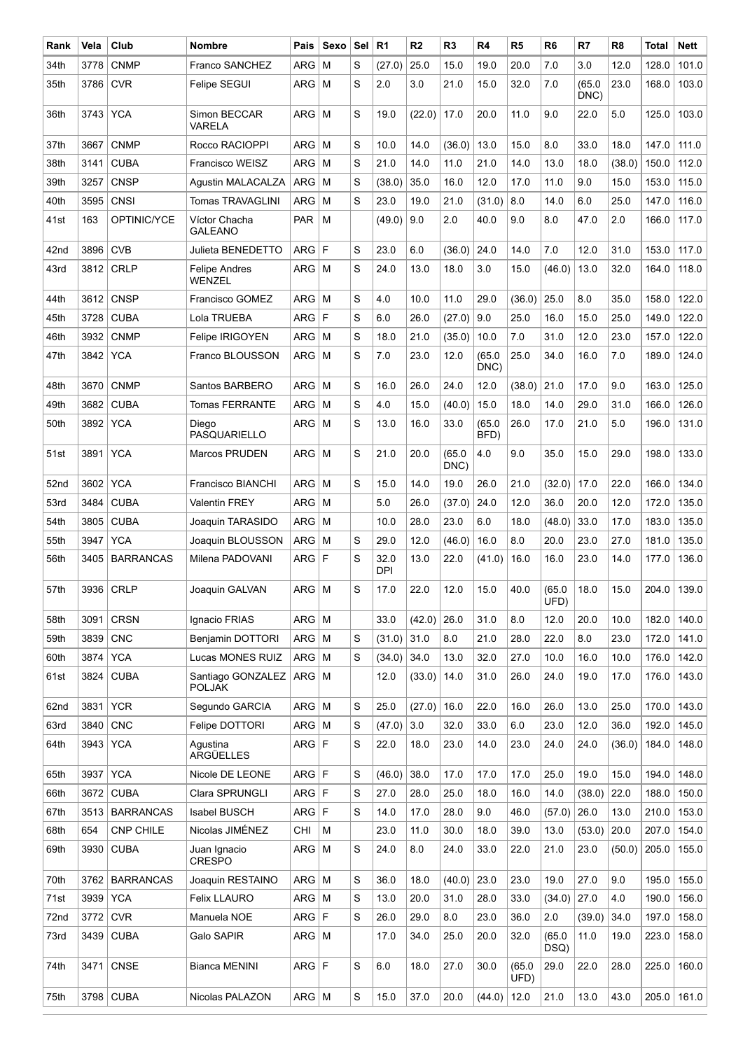| Rank | Vela     | Club             | <b>Nombre</b>                      | Pais       | Sexo     | Sel | R <sub>1</sub> | R <sub>2</sub> | R <sub>3</sub> | R4             | R5             | R <sub>6</sub> | R7             | R <sub>8</sub> | <b>Total</b> | Nett  |
|------|----------|------------------|------------------------------------|------------|----------|-----|----------------|----------------|----------------|----------------|----------------|----------------|----------------|----------------|--------------|-------|
| 34th | 3778     | <b>CNMP</b>      | Franco SANCHEZ                     | <b>ARG</b> | M        | S   | (27.0)         | 25.0           | 15.0           | 19.0           | 20.0           | 7.0            | 3.0            | 12.0           | 128.0        | 101.0 |
| 35th | 3786     | <b>CVR</b>       | Felipe SEGUI                       | ARG        | M        | S   | 2.0            | 3.0            | 21.0           | 15.0           | 32.0           | 7.0            | (65.0)<br>DNC) | 23.0           | 168.0        | 103.0 |
| 36th | 3743     | <b>YCA</b>       | Simon BECCAR<br>VARELA             | <b>ARG</b> | M        | S   | 19.0           | (22.0)         | 17.0           | 20.0           | 11.0           | 9.0            | 22.0           | 5.0            | 125.0        | 103.0 |
| 37th | 3667     | <b>CNMP</b>      | Rocco RACIOPPI                     | <b>ARG</b> | M        | S   | 10.0           | 14.0           | (36.0)         | 13.0           | 15.0           | 8.0            | 33.0           | 18.0           | 147.0        | 111.0 |
| 38th | 3141     | <b>CUBA</b>      | Francisco WEISZ                    | <b>ARG</b> | M        | S   | 21.0           | 14.0           | 11.0           | 21.0           | 14.0           | 13.0           | 18.0           | (38.0)         | 150.0        | 112.0 |
| 39th | 3257     | <b>CNSP</b>      | Agustin MALACALZA                  | <b>ARG</b> | м        | S   | (38.0)         | 35.0           | 16.0           | 12.0           | 17.0           | 11.0           | 9.0            | 15.0           | 153.0        | 115.0 |
| 40th | 3595     | CNSI             | Tomas TRAVAGLINI                   | <b>ARG</b> | M        | S   | 23.0           | 19.0           | 21.0           | (31.0)         | 8.0            | 14.0           | 6.0            | 25.0           | 147.0        | 116.0 |
| 41st | 163      | OPTINIC/YCE      | Víctor Chacha<br><b>GALEANO</b>    | <b>PAR</b> | м        |     | (49.0)         | 9.0            | 2.0            | 40.0           | 9.0            | 8.0            | 47.0           | 2.0            | 166.0        | 117.0 |
| 42nd | 3896     | <b>CVB</b>       | Julieta BENEDETTO                  | <b>ARG</b> | l F      | S   | 23.0           | 6.0            | (36.0)         | 24.0           | 14.0           | 7.0            | 12.0           | 31.0           | 153.0        | 117.0 |
| 43rd | 3812     | <b>CRLP</b>      | <b>Felipe Andres</b><br>WENZEL     | ARG        | M        | S   | 24.0           | 13.0           | 18.0           | 3.0            | 15.0           | (46.0)         | 13.0           | 32.0           | 164.0        | 118.0 |
| 44th | 3612     | <b>CNSP</b>      | Francisco GOMEZ                    | ARG        | M        | S   | 4.0            | 10.0           | 11.0           | 29.0           | (36.0)         | 25.0           | 8.0            | 35.0           | 158.0        | 122.0 |
| 45th | 3728     | <b>CUBA</b>      | Lola TRUEBA                        | <b>ARG</b> | F        | S   | 6.0            | 26.0           | (27.0)         | 9.0            | 25.0           | 16.0           | 15.0           | 25.0           | 149.0        | 122.0 |
| 46th | 3932     | <b>CNMP</b>      | Felipe IRIGOYEN                    | ARG        | M        | S   | 18.0           | 21.0           | (35.0)         | 10.0           | 7.0            | 31.0           | 12.0           | 23.0           | 157.0        | 122.0 |
| 47th | 3842     | <b>YCA</b>       | Franco BLOUSSON                    | $ARG$   M  |          | S   | 7.0            | 23.0           | 12.0           | (65.0)<br>DNC) | 25.0           | 34.0           | 16.0           | 7.0            | 189.0        | 124.0 |
| 48th | 3670     | <b>CNMP</b>      | Santos BARBERO                     | <b>ARG</b> | l M      | S   | 16.0           | 26.0           | 24.0           | 12.0           | (38.0)         | 21.0           | 17.0           | 9.0            | 163.0        | 125.0 |
| 49th | 3682     | <b>CUBA</b>      | <b>Tomas FERRANTE</b>              | <b>ARG</b> | M        | S   | 4.0            | 15.0           | (40.0)         | 15.0           | 18.0           | 14.0           | 29.0           | 31.0           | 166.0        | 126.0 |
| 50th | 3892     | <b>YCA</b>       | Diego<br>PASQUARIELLO              | ARG        | $\mid M$ | S   | 13.0           | 16.0           | 33.0           | (65.0)<br>BFD) | 26.0           | 17.0           | 21.0           | 5.0            | 196.0        | 131.0 |
| 51st | 3891     | <b>YCA</b>       | Marcos PRUDEN                      | ARG        | M        | S   | 21.0           | 20.0           | (65.0)<br>DNC) | 4.0            | 9.0            | 35.0           | 15.0           | 29.0           | 198.0        | 133.0 |
| 52nd | 3602     | <b>YCA</b>       | <b>Francisco BIANCHI</b>           | <b>ARG</b> | M        | S   | 15.0           | 14.0           | 19.0           | 26.0           | 21.0           | (32.0)         | 17.0           | 22.0           | 166.0        | 134.0 |
| 53rd | 3484     | <b>CUBA</b>      | <b>Valentin FREY</b>               | <b>ARG</b> | M        |     | 5.0            | 26.0           | (37.0)         | 24.0           | 12.0           | 36.0           | 20.0           | 12.0           | 172.0        | 135.0 |
| 54th | 3805     | <b>CUBA</b>      | Joaquin TARASIDO                   | <b>ARG</b> | M        |     | 10.0           | 28.0           | 23.0           | 6.0            | 18.0           | (48.0)         | 33.0           | 17.0           | 183.0        | 135.0 |
| 55th | 3947     | <b>YCA</b>       | Joaquin BLOUSSON                   | <b>ARG</b> | м        | S   | 29.0           | 12.0           | (46.0)         | 16.0           | 8.0            | 20.0           | 23.0           | 27.0           | 181.0        | 135.0 |
| 56th | 3405     | <b>BARRANCAS</b> | Milena PADOVANI                    | ARG        | l F      | S   | 32.0<br>DPI    | 13.0           | 22.0           | (41.0)         | 16.0           | 16.0           | 23.0           | 14.0           | 177.0        | 136.0 |
| 57th |          | 3936 CRLP        | Joaquin GALVAN                     | $ARG$ M    |          | S   | 17.0           | 22.0           | 12.0           | 15.0           | 40.0           | (65.0)<br>UFD) | 18.0           | 15.0           | 204.0        | 139.0 |
| 58th | 3091     | <b>CRSN</b>      | Ignacio FRIAS                      | ARG        | M        |     | 33.0           | (42.0)         | 26.0           | 31.0           | 8.0            | 12.0           | 20.0           | 10.0           | 182.0        | 140.0 |
| 59th | 3839     | <b>CNC</b>       | Benjamin DOTTORI                   | ARG        | M        | S   | (31.0)         | 31.0           | 8.0            | 21.0           | 28.0           | 22.0           | 8.0            | 23.0           | 172.0        | 141.0 |
| 60th | 3874     | <b>YCA</b>       | Lucas MONES RUIZ                   | ARG        | M        | S   | (34.0)         | 34.0           | 13.0           | 32.0           | 27.0           | 10.0           | 16.0           | 10.0           | 176.0        | 142.0 |
| 61st | 3824     | <b>CUBA</b>      | Santiago GONZALEZ<br><b>POLJAK</b> | $ARG$ M    |          |     | 12.0           | (33.0)         | 14.0           | 31.0           | 26.0           | 24.0           | 19.0           | 17.0           | 176.0        | 143.0 |
| 62nd | 3831     | <b>YCR</b>       | Segundo GARCIA                     | ARG        | l M      | S   | 25.0           | (27.0)         | 16.0           | 22.0           | 16.0           | 26.0           | 13.0           | 25.0           | 170.0        | 143.0 |
| 63rd | 3840     | CNC              | <b>Felipe DOTTORI</b>              | <b>ARG</b> | M        | S   | (47.0)         | 3.0            | 32.0           | 33.0           | 6.0            | 23.0           | 12.0           | 36.0           | 192.0        | 145.0 |
| 64th | 3943 YCA |                  | Aqustina<br>ARGÜELLES              | ARG F      |          | S   | 22.0           | 18.0           | 23.0           | 14.0           | 23.0           | 24.0           | 24.0           | (36.0)         | 184.0        | 148.0 |
| 65th | 3937     | <b>YCA</b>       | Nicole DE LEONE                    | ARG F      |          | S   | (46.0)         | 38.0           | 17.0           | 17.0           | 17.0           | 25.0           | 19.0           | 15.0           | 194.0        | 148.0 |
| 66th | 3672     | <b>CUBA</b>      | Clara SPRUNGLI                     | ARG        | l F      | S   | 27.0           | 28.0           | 25.0           | 18.0           | 16.0           | 14.0           | (38.0)         | 22.0           | 188.0        | 150.0 |
| 67th |          | 3513 BARRANCAS   | Isabel BUSCH                       | ARG F      |          | S   | 14.0           | 17.0           | 28.0           | 9.0            | 46.0           | (57.0)         | 26.0           | 13.0           | 210.0        | 153.0 |
| 68th | 654      | CNP CHILE        | Nicolas JIMÉNEZ                    | CHI        | M        |     | 23.0           | 11.0           | 30.0           | 18.0           | 39.0           | 13.0           | (53.0)         | 20.0           | 207.0        | 154.0 |
| 69th | 3930     | <b>CUBA</b>      | Juan Ignacio<br><b>CRESPO</b>      | $ARG$ M    |          | S   | 24.0           | 8.0            | 24.0           | 33.0           | 22.0           | 21.0           | 23.0           | (50.0)         | 205.0        | 155.0 |
| 70th |          | 3762   BARRANCAS | Joaquin RESTAINO                   | $ARG$ M    |          | S   | 36.0           | 18.0           | (40.0)         | 23.0           | 23.0           | 19.0           | 27.0           | 9.0            | 195.0        | 155.0 |
| 71st | 3939     | <b>YCA</b>       | <b>Felix LLAURO</b>                | ARG        | M        | S   | 13.0           | 20.0           | 31.0           | 28.0           | 33.0           | (34.0)         | 27.0           | 4.0            | 190.0        | 156.0 |
| 72nd | 3772     | <b>CVR</b>       | Manuela NOE                        | ARG F      |          | S   | 26.0           | 29.0           | 8.0            | 23.0           | 36.0           | 2.0            | (39.0)         | 34.0           | 197.0        | 158.0 |
| 73rd |          | 3439 CUBA        | Galo SAPIR                         | $ARG$ M    |          |     | 17.0           | 34.0           | 25.0           | 20.0           | 32.0           | (65.0)<br>DSQ) | 11.0           | 19.0           | 223.0        | 158.0 |
| 74th | 3471     | CNSE             | Bianca MENINI                      | ARG F      |          | S   | 6.0            | 18.0           | 27.0           | 30.0           | (65.0)<br>UFD) | 29.0           | 22.0           | 28.0           | 225.0        | 160.0 |
| 75th |          | 3798 CUBA        | Nicolas PALAZON                    | $ARG$ M    |          | S   | 15.0           | 37.0           | 20.0           | (44.0)         | 12.0           | 21.0           | 13.0           | 43.0           | 205.0        | 161.0 |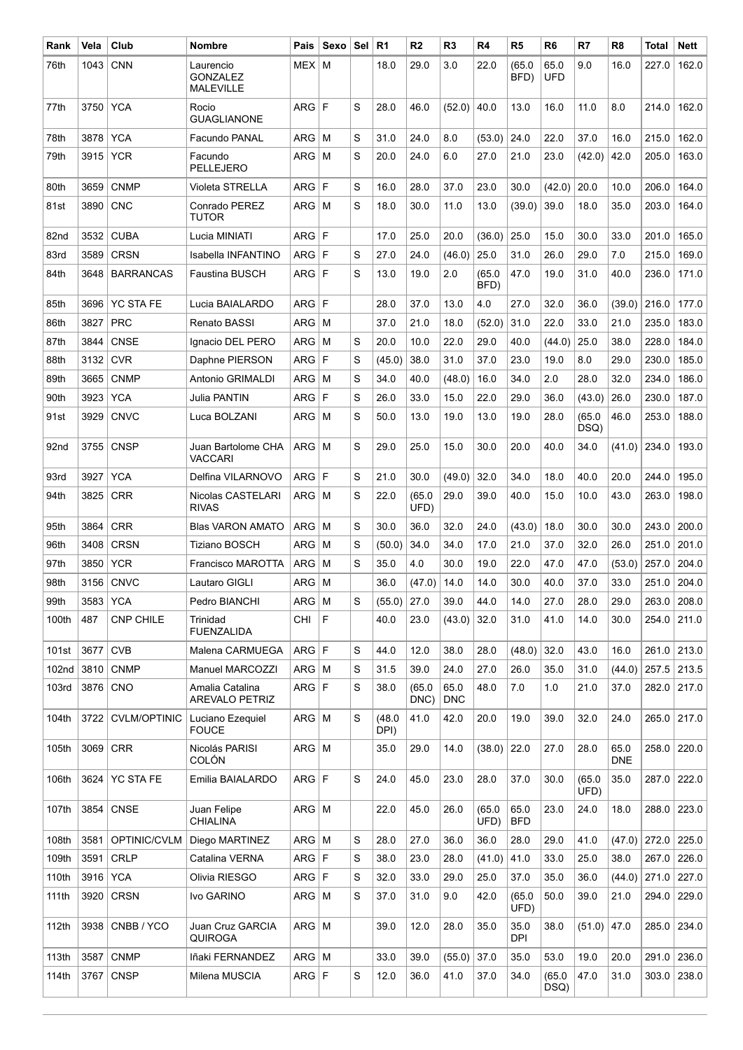| Rank             | Vela     | Club                | <b>Nombre</b>                                    | Pais         | Sexo        | Sel | R <sub>1</sub> | R <sub>2</sub> | R <sub>3</sub>     | R <sub>4</sub> | R <sub>5</sub>     | R <sub>6</sub>     | R7             | R <sub>8</sub>     | Total | Nett  |
|------------------|----------|---------------------|--------------------------------------------------|--------------|-------------|-----|----------------|----------------|--------------------|----------------|--------------------|--------------------|----------------|--------------------|-------|-------|
| 76th             | 1043     | <b>CNN</b>          | Laurencio<br><b>GONZALEZ</b><br><b>MALEVILLE</b> | <b>MEX</b>   | M           |     | 18.0           | 29.0           | 3.0                | 22.0           | (65.0)<br>BFD)     | 65.0<br><b>UFD</b> | 9.0            | 16.0               | 227.0 | 162.0 |
| 77th             | 3750     | <b>YCA</b>          | Rocio<br><b>GUAGLIANONE</b>                      | ARG          | l F         | S   | 28.0           | 46.0           | (52.0)             | 40.0           | 13.0               | 16.0               | 11.0           | 8.0                | 214.0 | 162.0 |
| 78th             | 3878     | <b>YCA</b>          | Facundo PANAL                                    | ARG          | M           | S   | 31.0           | 24.0           | 8.0                | (53.0)         | 24.0               | 22.0               | 37.0           | 16.0               | 215.0 | 162.0 |
| 79th             | 3915     | <b>YCR</b>          | Facundo<br><b>PELLEJERO</b>                      | $ARG$ M      |             | S   | 20.0           | 24.0           | 6.0                | 27.0           | 21.0               | 23.0               | (42.0)         | 42.0               | 205.0 | 163.0 |
| 80th             | 3659     | <b>CNMP</b>         | <b>Violeta STRELLA</b>                           | <b>ARG</b>   | F           | S   | 16.0           | 28.0           | 37.0               | 23.0           | 30.0               | (42.0)             | 20.0           | 10.0               | 206.0 | 164.0 |
| 81st             | 3890     | <b>CNC</b>          | Conrado PEREZ<br><b>TUTOR</b>                    | ARG          | l M         | S   | 18.0           | 30.0           | 11.0               | 13.0           | (39.0)             | 39.0               | 18.0           | 35.0               | 203.0 | 164.0 |
| 82nd             | 3532     | <b>CUBA</b>         | Lucia MINIATI                                    | <b>ARG</b>   | l F         |     | 17.0           | 25.0           | 20.0               | (36.0)         | 25.0               | 15.0               | 30.0           | 33.0               | 201.0 | 165.0 |
| 83rd             | 3589     | <b>CRSN</b>         | Isabella INFANTINO                               | <b>ARG</b>   | F           | S   | 27.0           | 24.0           | (46.0)             | 25.0           | 31.0               | 26.0               | 29.0           | 7.0                | 215.0 | 169.0 |
| 84th             | 3648     | <b>BARRANCAS</b>    | <b>Faustina BUSCH</b>                            | ARG F        |             | S   | 13.0           | 19.0           | 2.0                | (65.0)<br>BFD) | 47.0               | 19.0               | 31.0           | 40.0               | 236.0 | 171.0 |
| 85th             | 3696     | <b>YC STA FE</b>    | Lucia BAIALARDO                                  | <b>ARG</b>   | l F         |     | 28.0           | 37.0           | 13.0               | 4.0            | 27.0               | 32.0               | 36.0           | (39.0)             | 216.0 | 177.0 |
| 86th             | 3827     | <b>PRC</b>          | Renato BASSI                                     | ARG          | м           |     | 37.0           | 21.0           | 18.0               | (52.0)         | 31.0               | 22.0               | 33.0           | 21.0               | 235.0 | 183.0 |
| 87th             | 3844     | <b>CNSE</b>         | Ignacio DEL PERO                                 | ARG          | м           | S   | 20.0           | 10.0           | 22.0               | 29.0           | 40.0               | (44.0)             | 25.0           | 38.0               | 228.0 | 184.0 |
| 88th             | 3132     | <b>CVR</b>          | Daphne PIERSON                                   | <b>ARG</b>   | F           | S   | (45.0)         | 38.0           | 31.0               | 37.0           | 23.0               | 19.0               | 8.0            | 29.0               | 230.0 | 185.0 |
| 89th             | 3665     | <b>CNMP</b>         | Antonio GRIMALDI                                 | ARG          | м           | S   | 34.0           | 40.0           | (48.0)             | 16.0           | 34.0               | 2.0                | 28.0           | 32.0               | 234.0 | 186.0 |
| 90th             | 3923     | <b>YCA</b>          | Julia PANTIN                                     | <b>ARG</b>   | F           | S   | 26.0           | 33.0           | 15.0               | 22.0           | 29.0               | 36.0               | (43.0)         | 26.0               | 230.0 | 187.0 |
| 91st             | 3929     | <b>CNVC</b>         | Luca BOLZANI                                     | ARG          | M           | S   | 50.0           | 13.0           | 19.0               | 13.0           | 19.0               | 28.0               | (65.0)<br>DSQ) | 46.0               | 253.0 | 188.0 |
| 92 <sub>nd</sub> | 3755     | <b>CNSP</b>         | Juan Bartolome CHA<br><b>VACCARI</b>             | ARG M        |             | S   | 29.0           | 25.0           | 15.0               | 30.0           | 20.0               | 40.0               | 34.0           | (41.0)             | 234.0 | 193.0 |
| 93rd             | 3927     | <b>YCA</b>          | Delfina VILARNOVO                                | ARG F        |             | S   | 21.0           | 30.0           | (49.0)             | 32.0           | 34.0               | 18.0               | 40.0           | 20.0               | 244.0 | 195.0 |
| 94th             | 3825     | <b>CRR</b>          | Nicolas CASTELARI<br><b>RIVAS</b>                | ARG M        |             | S   | 22.0           | (65.0)<br>UFD) | 29.0               | 39.0           | 40.0               | 15.0               | 10.0           | 43.0               | 263.0 | 198.0 |
| 95th             | 3864     | <b>CRR</b>          | <b>Blas VARON AMATO</b>                          | ARG          | l M         | S   | 30.0           | 36.0           | 32.0               | 24.0           | (43.0)             | 18.0               | 30.0           | 30.0               | 243.0 | 200.0 |
| 96th             | 3408     | <b>CRSN</b>         | <b>Tiziano BOSCH</b>                             | ARG          | M           | S   | (50.0)         | 34.0           | 34.0               | 17.0           | 21.0               | 37.0               | 32.0           | 26.0               | 251.0 | 201.0 |
| 97th             | 3850     | <b>YCR</b>          | <b>Francisco MAROTTA</b>                         | ARG          | м           | S   | 35.0           | 4.0            | 30.0               | 19.0           | 22.0               | 47.0               | 47.0           | (53.0)             | 257.0 | 204.0 |
| 98th             |          | 3156 CNVC           | Lautaro GIGLI                                    | $ARG$ M      |             |     | 36.0           | (47.0)         | 14.0               | 14.0           | 30.0               | 40.0               | 37.0           | 33.0               | 251.0 | 204.0 |
| 99th             | 3583 YCA |                     | Pedro BIANCHI                                    | $ARG$ M      |             | S   | $(55.0)$ 27.0  |                | 39.0               | 44.0           | 14.0               | 27.0               | 28.0           | 29.0               | 263.0 | 208.0 |
| 100th            | 487      | <b>CNP CHILE</b>    | Trinidad<br><b>FUENZALIDA</b>                    | CHI          | $\mathsf F$ |     | 40.0           | 23.0           | (43.0)             | 32.0           | 31.0               | 41.0               | 14.0           | 30.0               | 254.0 | 211.0 |
| 101st            | 3677     | <b>CVB</b>          | Malena CARMUEGA                                  | ARG F        |             | S   | 44.0           | 12.0           | 38.0               | 28.0           | (48.0)             | 32.0               | 43.0           | 16.0               | 261.0 | 213.0 |
| 102nd            | 3810     | <b>CNMP</b>         | <b>Manuel MARCOZZI</b>                           | $ARG \mid M$ |             | S   | 31.5           | 39.0           | 24.0               | 27.0           | 26.0               | 35.0               | 31.0           | (44.0)             | 257.5 | 213.5 |
| 103rd            | 3876 CNO |                     | Amalia Catalina<br>AREVALO PETRIZ                | ARG F        |             | S   | 38.0           | (65.0)<br>DNC) | 65.0<br><b>DNC</b> | 48.0           | 7.0                | 1.0                | 21.0           | 37.0               | 282.0 | 217.0 |
| 104th            | 3722     | <b>CVLM/OPTINIC</b> | Luciano Ezequiel<br><b>FOUCE</b>                 | $ARG \mid M$ |             | S   | (48.0)<br>DPI) | 41.0           | 42.0               | 20.0           | 19.0               | 39.0               | 32.0           | 24.0               | 265.0 | 217.0 |
| 105th            | 3069     | <b>CRR</b>          | Nicolás PARISI<br>COLÓN                          | $ARG$ M      |             |     | 35.0           | 29.0           | 14.0               | (38.0)         | 22.0               | 27.0               | 28.0           | 65.0<br><b>DNE</b> | 258.0 | 220.0 |
| 106th            | 3624     | <b>YC STA FE</b>    | Emilia BAIALARDO                                 | ARG F        |             | S   | 24.0           | 45.0           | 23.0               | 28.0           | 37.0               | 30.0               | (65.0)<br>UFD) | 35.0               | 287.0 | 222.0 |
| 107th            | 3854     | <b>CNSE</b>         | Juan Felipe<br><b>CHIALINA</b>                   | ARG   M      |             |     | 22.0           | 45.0           | 26.0               | (65.0)<br>UFD) | 65.0<br><b>BFD</b> | 23.0               | 24.0           | 18.0               | 288.0 | 223.0 |
| 108th            | 3581     | OPTINIC/CVLM        | Diego MARTINEZ                                   | $ARG \mid M$ |             | S   | 28.0           | 27.0           | 36.0               | 36.0           | 28.0               | 29.0               | 41.0           | (47.0)             | 272.0 | 225.0 |
| 109th            | 3591     | <b>CRLP</b>         | Catalina VERNA                                   | ARG F        |             | S   | 38.0           | 23.0           | 28.0               | (41.0)         | 41.0               | 33.0               | 25.0           | 38.0               | 267.0 | 226.0 |
| 110th            | 3916 YCA |                     | Olivia RIESGO                                    | ARG F        |             | S   | 32.0           | 33.0           | 29.0               | 25.0           | 37.0               | 35.0               | 36.0           | (44.0)             | 271.0 | 227.0 |
| 111th            | 3920     | $ $ CRSN            | Ivo GARINO                                       | $ARG$ M      |             | S   | 37.0           | 31.0           | 9.0                | 42.0           | (65.0)<br>UFD)     | 50.0               | 39.0           | 21.0               | 294.0 | 229.0 |
| 112th            |          | 3938 CNBB / YCO     | Juan Cruz GARCIA<br><b>QUIROGA</b>               | $ARG$ M      |             |     | 39.0           | 12.0           | 28.0               | 35.0           | 35.0<br>DPI        | 38.0               | (51.0)         | 47.0               | 285.0 | 234.0 |
| 113th            | 3587     | <b>CNMP</b>         | Iñaki FERNANDEZ                                  | $ARG$ M      |             |     | 33.0           | 39.0           | (55.0)             | 37.0           | 35.0               | 53.0               | 19.0           | 20.0               | 291.0 | 236.0 |
| 114th            | 3767     | <b>CNSP</b>         | Milena MUSCIA                                    | ARG F        |             | S   | 12.0           | 36.0           | 41.0               | 37.0           | 34.0               | (65.0)<br>DSQ)     | 47.0           | 31.0               | 303.0 | 238.0 |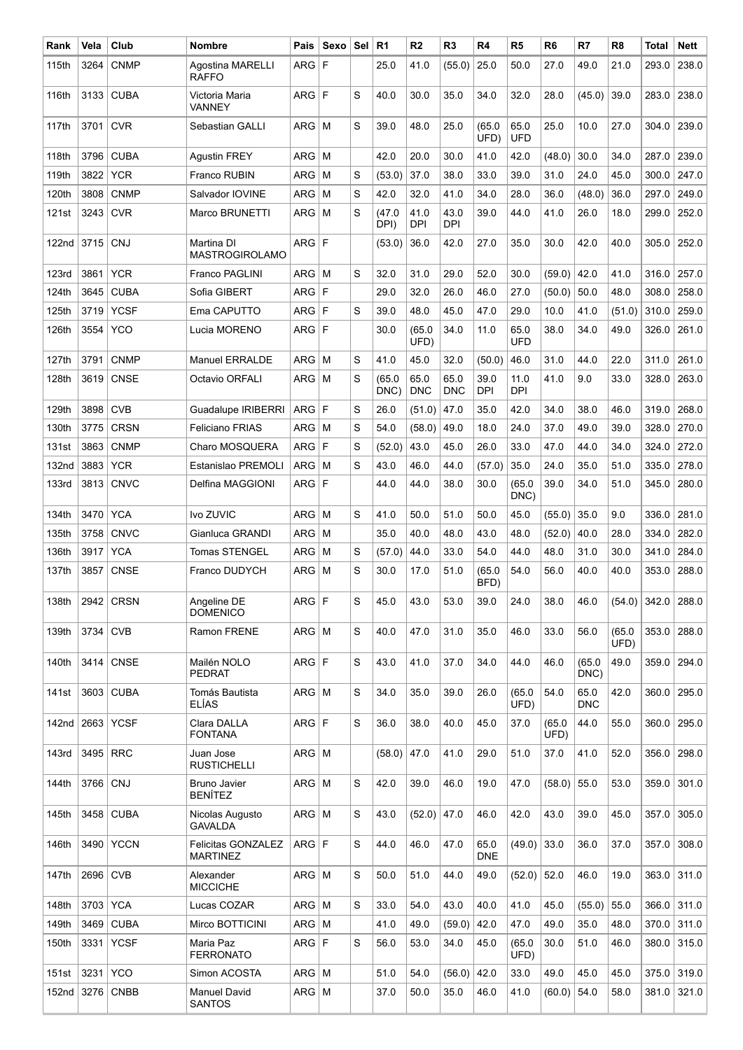| Rank  | Vela       | Club        | <b>Nombre</b>                         | Pais       | Sexo | ∣Sel ∣ | R <sub>1</sub> | R <sub>2</sub>     | R <sub>3</sub>     | R4                 | R <sub>5</sub>     | R <sub>6</sub> | R7                 | R <sub>8</sub> | <b>Total</b>   | Nett  |
|-------|------------|-------------|---------------------------------------|------------|------|--------|----------------|--------------------|--------------------|--------------------|--------------------|----------------|--------------------|----------------|----------------|-------|
| 115th | 3264       | <b>CNMP</b> | Agostina MARELLI<br><b>RAFFO</b>      | <b>ARG</b> | l F  |        | 25.0           | 41.0               | (55.0)             | 25.0               | 50.0               | 27.0           | 49.0               | 21.0           | 293.0          | 238.0 |
| 116th | 3133       | <b>CUBA</b> | Victoria Maria<br>VANNEY              | ARG        | l F  | S      | 40.0           | 30.0               | 35.0               | 34.0               | 32.0               | 28.0           | (45.0)             | 39.0           | 283.0          | 238.0 |
| 117th | 3701       | <b>CVR</b>  | Sebastian GALLI                       | ARG        | M    | S      | 39.0           | 48.0               | 25.0               | (65.0)<br>UFD)     | 65.0<br><b>UFD</b> | 25.0           | 10.0               | 27.0           | 304.0          | 239.0 |
| 118th | 3796       | <b>CUBA</b> | <b>Agustin FREY</b>                   | ARG        | M    |        | 42.0           | 20.0               | 30.0               | 41.0               | 42.0               | (48.0)         | 30.0               | 34.0           | 287.0          | 239.0 |
| 119th | 3822       | <b>YCR</b>  | <b>Franco RUBIN</b>                   | <b>ARG</b> | M    | S      | (53.0)         | 37.0               | 38.0               | 33.0               | 39.0               | 31.0           | 24.0               | 45.0           | 300.0          | 247.0 |
| 120th | 3808       | <b>CNMP</b> | Salvador IOVINE                       | ARG        | M    | S      | 42.0           | 32.0               | 41.0               | 34.0               | 28.0               | 36.0           | (48.0)             | 36.0           | 297.0          | 249.0 |
| 121st | 3243       | <b>CVR</b>  | Marco BRUNETTI                        | ARG        | l M  | S      | (47.0)<br>DPI) | 41.0<br><b>DPI</b> | 43.0<br><b>DPI</b> | 39.0               | 44.0               | 41.0           | 26.0               | 18.0           | 299.0          | 252.0 |
| 122nd | 3715 CNJ   |             | Martina DI<br><b>MASTROGIROLAMO</b>   | ARG F      |      |        | (53.0)         | 36.0               | 42.0               | 27.0               | 35.0               | 30.0           | 42.0               | 40.0           | 305.0          | 252.0 |
| 123rd | 3861       | <b>YCR</b>  | Franco PAGLINI                        | $ARG$ M    |      | S      | 32.0           | 31.0               | 29.0               | 52.0               | 30.0               | (59.0)         | 42.0               | 41.0           | 316.0          | 257.0 |
| 124th | 3645       | <b>CUBA</b> | Sofia GIBERT                          | ARG        | F    |        | 29.0           | 32.0               | 26.0               | 46.0               | 27.0               | (50.0)         | 50.0               | 48.0           | 308.0          | 258.0 |
| 125th | 3719       | <b>YCSF</b> | Ema CAPUTTO                           | ARG F      |      | S      | 39.0           | 48.0               | 45.0               | 47.0               | 29.0               | 10.0           | 41.0               | (51.0)         | 310.0          | 259.0 |
| 126th | 3554       | <b>YCO</b>  | Lucia MORENO                          | ARG F      |      |        | 30.0           | (65.0)<br>UFD)     | 34.0               | 11.0               | 65.0<br><b>UFD</b> | 38.0           | 34.0               | 49.0           | 326.0          | 261.0 |
| 127th | 3791       | <b>CNMP</b> | <b>Manuel ERRALDE</b>                 | ARG        | M    | S      | 41.0           | 45.0               | 32.0               | (50.0)             | 46.0               | 31.0           | 44.0               | 22.0           | 311.0          | 261.0 |
| 128th | 3619       | <b>CNSE</b> | Octavio ORFALI                        | $ARG$ M    |      | S      | (65.0)<br>DNC) | 65.0<br><b>DNC</b> | 65.0<br><b>DNC</b> | 39.0<br><b>DPI</b> | 11.0<br><b>DPI</b> | 41.0           | 9.0                | 33.0           | 328.0          | 263.0 |
| 129th | 3898       | <b>CVB</b>  | Guadalupe IRIBERRI                    | ARG        | l F  | S      | 26.0           | (51.0)             | 47.0               | 35.0               | 42.0               | 34.0           | 38.0               | 46.0           | 319.0          | 268.0 |
| 130th | 3775       | <b>CRSN</b> | <b>Feliciano FRIAS</b>                | <b>ARG</b> | l M  | S      | 54.0           | (58.0)             | 49.0               | 18.0               | 24.0               | 37.0           | 49.0               | 39.0           | 328.0          | 270.0 |
| 131st | 3863       | <b>CNMP</b> | Charo MOSQUERA                        | ARG        | F    | S      | (52.0)         | 43.0               | 45.0               | 26.0               | 33.0               | 47.0           | 44.0               | 34.0           | 324.0          | 272.0 |
| 132nd | 3883       | <b>YCR</b>  | Estanislao PREMOLI                    | ARG        | M    | S      | 43.0           | 46.0               | 44.0               | (57.0)             | 35.0               | 24.0           | 35.0               | 51.0           | 335.0          | 278.0 |
| 133rd | 3813       | <b>CNVC</b> | Delfina MAGGIONI                      | ARG F      |      |        | 44.0           | 44.0               | 38.0               | 30.0               | (65.0)<br>DNC)     | 39.0           | 34.0               | 51.0           | 345.0          | 280.0 |
| 134th | 3470       | <b>YCA</b>  | Ivo ZUVIC                             | <b>ARG</b> | M    | S      | 41.0           | 50.0               | 51.0               | 50.0               | 45.0               | (55.0)         | 35.0               | 9.0            | 336.0          | 281.0 |
| 135th | 3758       | <b>CNVC</b> | Gianluca GRANDI                       | ARG        | М    |        | 35.0           | 40.0               | 48.0               | 43.0               | 48.0               | (52.0)         | 40.0               | 28.0           | 334.0          | 282.0 |
| 136th | 3917       | <b>YCA</b>  | Tomas STENGEL                         | ARG        | M    | S      | (57.0)         | 44.0               | 33.0               | 54.0               | 44.0               | 48.0           | 31.0               | 30.0           | 341.0          | 284.0 |
| 137th | 3857       | <b>CNSE</b> | Franco DUDYCH                         | <b>ARG</b> | M    | S      | 30.0           | 17.0               | 51.0               | (65.0)<br>BFD)     | 54.0               | 56.0           | 40.0               | 40.0           | 353.0          | 288.0 |
| 138th |            | 2942 CRSN   | Angeline DE<br><b>DOMENICO</b>        | ARG F      |      | S      | 45.0           | 43.0               | 53.0               | 39.0               | 24.0               | 38.0           | 46.0               |                | $(54.0)$ 342.0 | 288.0 |
| 139th | $3734$ CVB |             | Ramon FRENE                           | $ARG$ M    |      | S      | 40.0           | 47.0               | 31.0               | 35.0               | 46.0               | 33.0           | 56.0               | (65.0)<br>UFD) | 353.0          | 288.0 |
| 140th |            | 3414 CNSE   | Mailén NOLO<br><b>PEDRAT</b>          | ARG F      |      | S      | 43.0           | 41.0               | 37.0               | 34.0               | 44.0               | 46.0           | (65.0)<br>DNC)     | 49.0           | 359.0          | 294.0 |
| 141st |            | 3603 CUBA   | Tomás Bautista<br>ELÍAS               | $ARG$ M    |      | S      | 34.0           | 35.0               | 39.0               | 26.0               | (65.0)<br>UFD)     | 54.0           | 65.0<br><b>DNC</b> | 42.0           | 360.0          | 295.0 |
| 142nd |            | 2663 YCSF   | Clara DALLA<br><b>FONTANA</b>         | ARG F      |      | S      | 36.0           | 38.0               | 40.0               | 45.0               | 37.0               | (65.0)<br>UFD) | 44.0               | 55.0           | 360.0          | 295.0 |
| 143rd | 3495 RRC   |             | Juan Jose<br><b>RUSTICHELLI</b>       | $ARG$ M    |      |        | (58.0)         | 47.0               | 41.0               | 29.0               | 51.0               | 37.0           | 41.0               | 52.0           | 356.0          | 298.0 |
| 144th | 3766 CNJ   |             | <b>Bruno Javier</b><br><b>BENÍTEZ</b> | $ARG$ M    |      | S      | 42.0           | 39.0               | 46.0               | 19.0               | 47.0               | (58.0)         | 55.0               | 53.0           | 359.0          | 301.0 |
| 145th |            | 3458 CUBA   | Nicolas Augusto<br><b>GAVALDA</b>     | $ARG$ M    |      | S      | 43.0           | $(52.0)$ 47.0      |                    | 46.0               | 42.0               | 43.0           | 39.0               | 45.0           | 357.0          | 305.0 |
| 146th |            | 3490 YCCN   | Felicitas GONZALEZ<br><b>MARTINEZ</b> | ARG F      |      | S      | 44.0           | 46.0               | 47.0               | 65.0<br><b>DNE</b> | (49.0)             | 33.0           | 36.0               | 37.0           | 357.0          | 308.0 |
| 147th | 2696 CVB   |             | Alexander<br><b>MICCICHE</b>          | $ARG$ M    |      | S      | 50.0           | 51.0               | 44.0               | 49.0               | (52.0)             | 52.0           | 46.0               | 19.0           | 363.0          | 311.0 |
| 148th | 3703 YCA   |             | Lucas COZAR                           | $ARG$ M    |      | S      | 33.0           | 54.0               | 43.0               | 40.0               | 41.0               | 45.0           | (55.0)             | 55.0           | 366.0          | 311.0 |
| 149th | 3469       | <b>CUBA</b> | Mirco BOTTICINI                       | $ARG$ M    |      |        | 41.0           | 49.0               | (59.0)             | 42.0               | 47.0               | 49.0           | 35.0               | 48.0           | 370.0          | 311.0 |
| 150th | 3331       | <b>YCSF</b> | Maria Paz<br><b>FERRONATO</b>         | ARG F      |      | S      | 56.0           | 53.0               | 34.0               | 45.0               | (65.0)<br>UFD)     | 30.0           | 51.0               | 46.0           | 380.0          | 315.0 |
| 151st | 3231       | <b>YCO</b>  | Simon ACOSTA                          | $ARG$ M    |      |        | 51.0           | 54.0               | (56.0)             | 42.0               | 33.0               | 49.0           | 45.0               | 45.0           | 375.0          | 319.0 |
| 152nd |            | $3276$ CNBB | <b>Manuel David</b><br><b>SANTOS</b>  | $ARG$ M    |      |        | 37.0           | 50.0               | 35.0               | 46.0               | 41.0               | (60.0)         | 54.0               | 58.0           | 381.0          | 321.0 |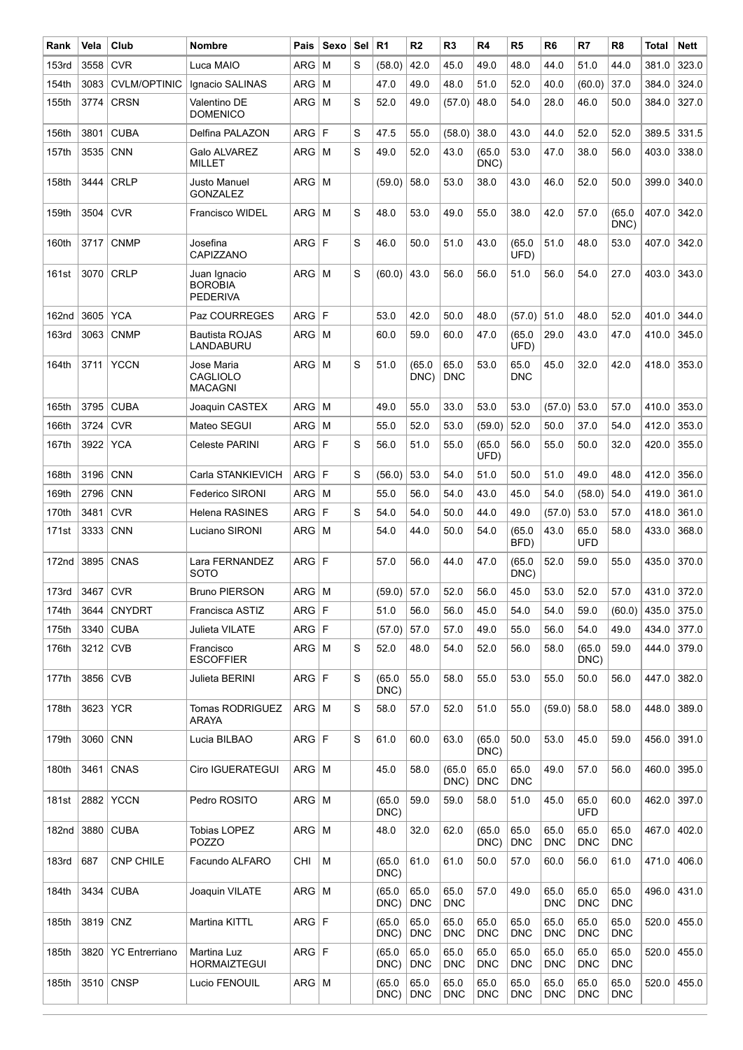| Rank              | Vela       | Club                  | <b>Nombre</b>                                     | Pais       | Sexo | Sel | R <sub>1</sub> | R <sub>2</sub>     | R <sub>3</sub>     | R4                 | R <sub>5</sub>     | R <sub>6</sub>     | R7                 | R <sub>8</sub>     | Total | Nett  |
|-------------------|------------|-----------------------|---------------------------------------------------|------------|------|-----|----------------|--------------------|--------------------|--------------------|--------------------|--------------------|--------------------|--------------------|-------|-------|
| 153rd             | 3558       | <b>CVR</b>            | Luca MAIO                                         | <b>ARG</b> | M    | S   | (58.0)         | 42.0               | 45.0               | 49.0               | 48.0               | 44.0               | 51.0               | 44.0               | 381.0 | 323.0 |
| 154th             | 3083       | <b>CVLM/OPTINIC</b>   | Ignacio SALINAS                                   | <b>ARG</b> | M    |     | 47.0           | 49.0               | 48.0               | 51.0               | 52.0               | 40.0               | (60.0)             | 37.0               | 384.0 | 324.0 |
| 155th             | 3774       | <b>CRSN</b>           | Valentino DE<br><b>DOMENICO</b>                   | $ARG$ M    |      | S   | 52.0           | 49.0               | (57.0)             | 48.0               | 54.0               | 28.0               | 46.0               | 50.0               | 384.0 | 327.0 |
| 156th             | 3801       | <b>CUBA</b>           | Delfina PALAZON                                   | ARG        | l F  | S   | 47.5           | 55.0               | (58.0)             | 38.0               | 43.0               | 44.0               | 52.0               | 52.0               | 389.5 | 331.5 |
| 157th             | 3535       | <b>CNN</b>            | Galo ALVAREZ<br><b>MILLET</b>                     | <b>ARG</b> | l M  | S   | 49.0           | 52.0               | 43.0               | (65.0)<br>DNC)     | 53.0               | 47.0               | 38.0               | 56.0               | 403.0 | 338.0 |
| 158th             | 3444       | <b>CRLP</b>           | Justo Manuel<br><b>GONZALEZ</b>                   | $ARG$ M    |      |     | (59.0)         | 58.0               | 53.0               | 38.0               | 43.0               | 46.0               | 52.0               | 50.0               | 399.0 | 340.0 |
| 159th             | 3504       | <b>CVR</b>            | <b>Francisco WIDEL</b>                            | $ARG$ M    |      | S   | 48.0           | 53.0               | 49.0               | 55.0               | 38.0               | 42.0               | 57.0               | (65.0)<br>DNC)     | 407.0 | 342.0 |
| 160th             | 3717       | <b>CNMP</b>           | Josefina<br>CAPIZZANO                             | ARG F      |      | S   | 46.0           | 50.0               | 51.0               | 43.0               | (65.0)<br>UFD)     | 51.0               | 48.0               | 53.0               | 407.0 | 342.0 |
| 161st             |            | 3070 CRLP             | Juan Ignacio<br><b>BOROBIA</b><br><b>PEDERIVA</b> | $ARG$ M    |      | S   | (60.0)         | 43.0               | 56.0               | 56.0               | 51.0               | 56.0               | 54.0               | 27.0               | 403.0 | 343.0 |
| 162nd             | 3605       | <b>YCA</b>            | Paz COURREGES                                     | ARG F      |      |     | 53.0           | 42.0               | 50.0               | 48.0               | (57.0)             | 51.0               | 48.0               | 52.0               | 401.0 | 344.0 |
| <b>163rd</b>      | 3063       | <b>CNMP</b>           | <b>Bautista ROJAS</b><br>LANDABURU                | $ARG$ M    |      |     | 60.0           | 59.0               | 60.0               | 47.0               | (65.0)<br>UFD)     | 29.0               | 43.0               | 47.0               | 410.0 | 345.0 |
| 164th             | 3711       | <b>YCCN</b>           | Jose Maria<br><b>CAGLIOLO</b><br><b>MACAGNI</b>   | $ARG$ M    |      | S   | 51.0           | (65.0)<br>DNC)     | 65.0<br><b>DNC</b> | 53.0               | 65.0<br><b>DNC</b> | 45.0               | 32.0               | 42.0               | 418.0 | 353.0 |
| 165th             | 3795       | <b>CUBA</b>           | Joaquin CASTEX                                    | <b>ARG</b> | l M  |     | 49.0           | 55.0               | 33.0               | 53.0               | 53.0               | (57.0)             | 53.0               | 57.0               | 410.0 | 353.0 |
| 166th             | 3724       | <b>CVR</b>            | Mateo SEGUI                                       | <b>ARG</b> | M    |     | 55.0           | 52.0               | 53.0               | (59.0)             | 52.0               | 50.0               | 37.0               | 54.0               | 412.0 | 353.0 |
| 167th             | 3922       | <b>YCA</b>            | Celeste PARINI                                    | ARG F      |      | S   | 56.0           | 51.0               | 55.0               | (65.0)<br>UFD)     | 56.0               | 55.0               | 50.0               | 32.0               | 420.0 | 355.0 |
| 168th             | 3196       | <b>CNN</b>            | Carla STANKIEVICH                                 | ARG F      |      | S   | (56.0)         | 53.0               | 54.0               | 51.0               | 50.0               | 51.0               | 49.0               | 48.0               | 412.0 | 356.0 |
| 169th             | 2796       | <b>CNN</b>            | Federico SIRONI                                   | <b>ARG</b> | l M  |     | 55.0           | 56.0               | 54.0               | 43.0               | 45.0               | 54.0               | (58.0)             | 54.0               | 419.0 | 361.0 |
| 170th             | 3481       | <b>CVR</b>            | <b>Helena RASINES</b>                             | <b>ARG</b> | l F  | S   | 54.0           | 54.0               | 50.0               | 44.0               | 49.0               | (57.0)             | 53.0               | 57.0               | 418.0 | 361.0 |
| 171st             | 3333       | <b>CNN</b>            | Luciano SIRONI                                    | ARG        | M    |     | 54.0           | 44.0               | 50.0               | 54.0               | (65.0<br>BFD)      | 43.0               | 65.0<br><b>UFD</b> | 58.0               | 433.0 | 368.0 |
| 172nd             | 3895       | CNAS                  | Lara FERNANDEZ<br>SOTO                            | ARG        | IF.  |     | 57.0           | 56.0               | 44.0               | 47.0               | (65.0)<br>DNC)     | 52.0               | 59.0               | 55.0               | 435.0 | 370.0 |
| 173 <sub>rd</sub> | 3467       | <b>CVR</b>            | <b>Bruno PIERSON</b>                              | $ARG$ M    |      |     | $(59.0)$ 57.0  |                    | 52.0               | 56.0               | 45.0               | 53.0               | 52.0               | 57.0               | 431.0 | 372.0 |
| 174th             | 3644       | <b>CNYDRT</b>         | Francisca ASTIZ                                   | ARG F      |      |     | 51.0           | 56.0               | 56.0               | 45.0               | 54.0               | 54.0               | 59.0               | (60.0)             | 435.0 | 375.0 |
| 175th             | 3340       | <b>CUBA</b>           | Julieta VILATE                                    | ARG F      |      |     | (57.0)         | 57.0               | 57.0               | 49.0               | 55.0               | 56.0               | 54.0               | 49.0               | 434.0 | 377.0 |
| 176th             | $3212$ CVB |                       | Francisco<br><b>ESCOFFIER</b>                     | $ARG$ M    |      | S   | 52.0           | 48.0               | 54.0               | 52.0               | 56.0               | 58.0               | (65.0)<br>DNC)     | 59.0               | 444.0 | 379.0 |
| 177th             | 3856 CVB   |                       | Julieta BERINI                                    | ARG F      |      | S   | (65.0)<br>DNC) | 55.0               | 58.0               | 55.0               | 53.0               | 55.0               | 50.0               | 56.0               | 447.0 | 382.0 |
| 178th             | 3623 YCR   |                       | Tomas RODRIGUEZ<br>ARAYA                          | $ARG$ M    |      | S   | 58.0           | 57.0               | 52.0               | 51.0               | 55.0               | (59.0)             | 58.0               | 58.0               | 448.0 | 389.0 |
| 179th             | 3060 CNN   |                       | Lucia BILBAO                                      | ARG F      |      | S   | 61.0           | 60.0               | 63.0               | (65.0)<br>DNC)     | 50.0               | 53.0               | 45.0               | 59.0               | 456.0 | 391.0 |
| 180th             | 3461       | CNAS                  | Ciro IGUERATEGUI                                  | ARG M      |      |     | 45.0           | 58.0               | (65.0)<br>DNC)     | 65.0<br><b>DNC</b> | 65.0<br><b>DNC</b> | 49.0               | 57.0               | 56.0               | 460.0 | 395.0 |
| 181st             |            | 2882 YCCN             | Pedro ROSITO                                      | ARG M      |      |     | (65.0)<br>DNC) | 59.0               | 59.0               | 58.0               | 51.0               | 45.0               | 65.0<br><b>UFD</b> | 60.0               | 462.0 | 397.0 |
| 182nd             |            | 3880 CUBA             | <b>Tobias LOPEZ</b><br>POZZO                      | ARG M      |      |     | 48.0           | 32.0               | 62.0               | (65.0)<br>DNC)     | 65.0<br><b>DNC</b> | 65.0<br><b>DNC</b> | 65.0<br><b>DNC</b> | 65.0<br><b>DNC</b> | 467.0 | 402.0 |
| 183 <sub>rd</sub> | 687        | <b>CNP CHILE</b>      | Facundo ALFARO                                    | CHI        | м    |     | (65.0)<br>DNC) | 61.0               | 61.0               | 50.0               | 57.0               | 60.0               | 56.0               | 61.0               | 471.0 | 406.0 |
| 184th             | 3434       | <b>CUBA</b>           | Joaquin VILATE                                    | ARG M      |      |     | (65.0)<br>DNC) | 65.0<br><b>DNC</b> | 65.0<br><b>DNC</b> | 57.0               | 49.0               | 65.0<br><b>DNC</b> | 65.0<br><b>DNC</b> | 65.0<br><b>DNC</b> | 496.0 | 431.0 |
| 185th             | 3819 CNZ   |                       | Martina KITTL                                     | ARG F      |      |     | (65.0)<br>DNC) | 65.0<br><b>DNC</b> | 65.0<br><b>DNC</b> | 65.0<br><b>DNC</b> | 65.0<br><b>DNC</b> | 65.0<br><b>DNC</b> | 65.0<br><b>DNC</b> | 65.0<br><b>DNC</b> | 520.0 | 455.0 |
| 185th             |            | 3820   YC Entrerriano | Martina Luz<br><b>HORMAIZTEGUI</b>                | ARG F      |      |     | (65.0)<br>DNC) | 65.0<br><b>DNC</b> | 65.0<br><b>DNC</b> | 65.0<br><b>DNC</b> | 65.0<br><b>DNC</b> | 65.0<br><b>DNC</b> | 65.0<br><b>DNC</b> | 65.0<br><b>DNC</b> | 520.0 | 455.0 |
| 185th             |            | 3510 CNSP             | Lucio FENOUIL                                     | $ARG$ M    |      |     | (65.0)<br>DNC) | 65.0<br><b>DNC</b> | 65.0<br><b>DNC</b> | 65.0<br><b>DNC</b> | 65.0<br><b>DNC</b> | 65.0<br><b>DNC</b> | 65.0<br><b>DNC</b> | 65.0<br><b>DNC</b> | 520.0 | 455.0 |